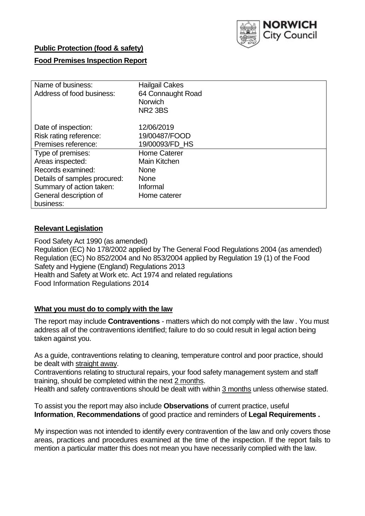

# **Public Protection (food & safety)**

# **Food Premises Inspection Report**

| Name of business:<br>Address of food business:                       | <b>Hailgail Cakes</b><br>64 Connaught Road<br><b>Norwich</b><br><b>NR2 3BS</b> |
|----------------------------------------------------------------------|--------------------------------------------------------------------------------|
| Date of inspection:<br>Risk rating reference:<br>Premises reference: | 12/06/2019<br>19/00487/FOOD<br>19/00093/FD HS                                  |
| Type of premises:                                                    | <b>Home Caterer</b>                                                            |
| Areas inspected:<br>Records examined:                                | Main Kitchen<br><b>None</b>                                                    |
| Details of samples procured:                                         | <b>None</b>                                                                    |
| Summary of action taken:<br>General description of                   | Informal<br>Home caterer                                                       |
| business:                                                            |                                                                                |

# **Relevant Legislation**

Food Safety Act 1990 (as amended) Regulation (EC) No 178/2002 applied by The General Food Regulations 2004 (as amended) Regulation (EC) No 852/2004 and No 853/2004 applied by Regulation 19 (1) of the Food Safety and Hygiene (England) Regulations 2013 Health and Safety at Work etc. Act 1974 and related regulations Food Information Regulations 2014

## **What you must do to comply with the law**

The report may include **Contraventions** - matters which do not comply with the law . You must address all of the contraventions identified; failure to do so could result in legal action being taken against you.

As a guide, contraventions relating to cleaning, temperature control and poor practice, should be dealt with straight away.

Contraventions relating to structural repairs, your food safety management system and staff training, should be completed within the next 2 months.

Health and safety contraventions should be dealt with within 3 months unless otherwise stated.

To assist you the report may also include **Observations** of current practice, useful **Information**, **Recommendations** of good practice and reminders of **Legal Requirements .**

My inspection was not intended to identify every contravention of the law and only covers those areas, practices and procedures examined at the time of the inspection. If the report fails to mention a particular matter this does not mean you have necessarily complied with the law.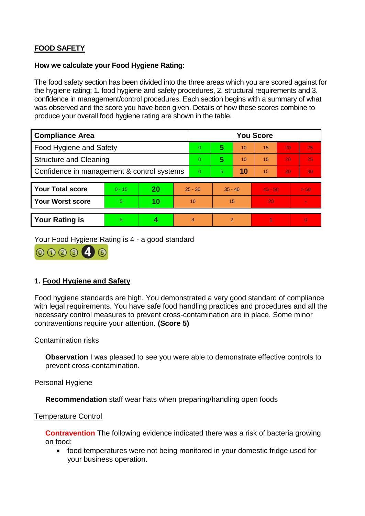# **FOOD SAFETY**

### **How we calculate your Food Hygiene Rating:**

The food safety section has been divided into the three areas which you are scored against for the hygiene rating: 1. food hygiene and safety procedures, 2. structural requirements and 3. confidence in management/control procedures. Each section begins with a summary of what was observed and the score you have been given. Details of how these scores combine to produce your overall food hygiene rating are shown in the table.

| <b>Compliance Area</b>                     |          |    |    | <b>You Score</b> |                |           |           |    |                |  |  |
|--------------------------------------------|----------|----|----|------------------|----------------|-----------|-----------|----|----------------|--|--|
| Food Hygiene and Safety                    |          |    |    | $\Omega$         | 5              | 10        | 15        | 20 | 25             |  |  |
| <b>Structure and Cleaning</b>              |          |    |    | $\Omega$         | 5              | 10        | 15        | 20 | 25             |  |  |
| Confidence in management & control systems |          |    |    | $\Omega$         | $\overline{5}$ | 10        | 15        | 20 | 30             |  |  |
|                                            |          |    |    |                  |                |           |           |    |                |  |  |
| <b>Your Total score</b>                    | $0 - 15$ | 20 |    | $25 - 30$        |                | $35 - 40$ | $45 - 50$ |    | > 50           |  |  |
| Your Worst score                           | 5.       | 10 | 10 |                  | 15             |           | 20        |    | $\blacksquare$ |  |  |
|                                            |          |    |    |                  |                |           |           |    |                |  |  |
| <b>Your Rating is</b>                      | 5        |    |    | 3                | 2              |           |           |    | $\overline{0}$ |  |  |

Your Food Hygiene Rating is 4 - a good standard



# **1. Food Hygiene and Safety**

Food hygiene standards are high. You demonstrated a very good standard of compliance with legal requirements. You have safe food handling practices and procedures and all the necessary control measures to prevent cross-contamination are in place. Some minor contraventions require your attention. **(Score 5)**

## Contamination risks

**Observation** I was pleased to see you were able to demonstrate effective controls to prevent cross-contamination.

#### Personal Hygiene

**Recommendation** staff wear hats when preparing/handling open foods

#### Temperature Control

**Contravention** The following evidence indicated there was a risk of bacteria growing on food:

• food temperatures were not being monitored in your domestic fridge used for your business operation.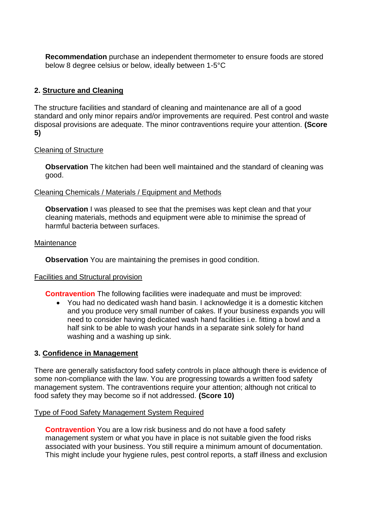**Recommendation** purchase an independent thermometer to ensure foods are stored below 8 degree celsius or below, ideally between 1-5°C

# **2. Structure and Cleaning**

The structure facilities and standard of cleaning and maintenance are all of a good standard and only minor repairs and/or improvements are required. Pest control and waste disposal provisions are adequate. The minor contraventions require your attention. **(Score 5)**

### Cleaning of Structure

**Observation** The kitchen had been well maintained and the standard of cleaning was good.

### Cleaning Chemicals / Materials / Equipment and Methods

**Observation** I was pleased to see that the premises was kept clean and that your cleaning materials, methods and equipment were able to minimise the spread of harmful bacteria between surfaces.

### **Maintenance**

**Observation** You are maintaining the premises in good condition.

#### Facilities and Structural provision

**Contravention** The following facilities were inadequate and must be improved:

 You had no dedicated wash hand basin. I acknowledge it is a domestic kitchen and you produce very small number of cakes. If your business expands you will need to consider having dedicated wash hand facilities i.e. fitting a bowl and a half sink to be able to wash your hands in a separate sink solely for hand washing and a washing up sink.

## **3. Confidence in Management**

There are generally satisfactory food safety controls in place although there is evidence of some non-compliance with the law. You are progressing towards a written food safety management system. The contraventions require your attention; although not critical to food safety they may become so if not addressed. **(Score 10)**

#### Type of Food Safety Management System Required

**Contravention** You are a low risk business and do not have a food safety management system or what you have in place is not suitable given the food risks associated with your business. You still require a minimum amount of documentation. This might include your hygiene rules, pest control reports, a staff illness and exclusion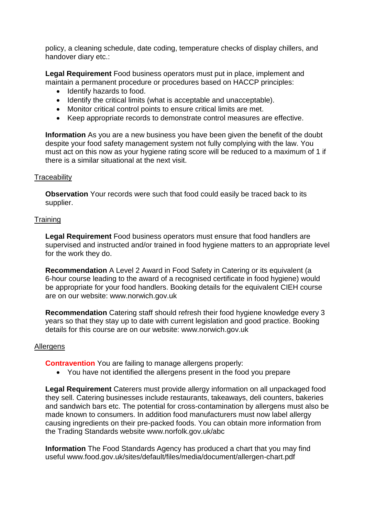policy, a cleaning schedule, date coding, temperature checks of display chillers, and handover diary etc.:

**Legal Requirement** Food business operators must put in place, implement and maintain a permanent procedure or procedures based on HACCP principles:

- Identify hazards to food.
- Identify the critical limits (what is acceptable and unacceptable).
- Monitor critical control points to ensure critical limits are met.
- Keep appropriate records to demonstrate control measures are effective.

**Information** As you are a new business you have been given the benefit of the doubt despite your food safety management system not fully complying with the law. You must act on this now as your hygiene rating score will be reduced to a maximum of 1 if there is a similar situational at the next visit.

## **Traceability**

**Observation** Your records were such that food could easily be traced back to its supplier.

# **Training**

**Legal Requirement** Food business operators must ensure that food handlers are supervised and instructed and/or trained in food hygiene matters to an appropriate level for the work they do.

**Recommendation** A Level 2 Award in Food Safety in Catering or its equivalent (a 6-hour course leading to the award of a recognised certificate in food hygiene) would be appropriate for your food handlers. Booking details for the equivalent CIEH course are on our website: www.norwich.gov.uk

**Recommendation** Catering staff should refresh their food hygiene knowledge every 3 years so that they stay up to date with current legislation and good practice. Booking details for this course are on our website: www.norwich.gov.uk

## Allergens

**Contravention** You are failing to manage allergens properly:

You have not identified the allergens present in the food you prepare

**Legal Requirement** Caterers must provide allergy information on all unpackaged food they sell. Catering businesses include restaurants, takeaways, deli counters, bakeries and sandwich bars etc. The potential for cross-contamination by allergens must also be made known to consumers. In addition food manufacturers must now label allergy causing ingredients on their pre-packed foods. You can obtain more information from the Trading Standards website www.norfolk.gov.uk/abc

**Information** The Food Standards Agency has produced a chart that you may find useful www.food.gov.uk/sites/default/files/media/document/allergen-chart.pdf